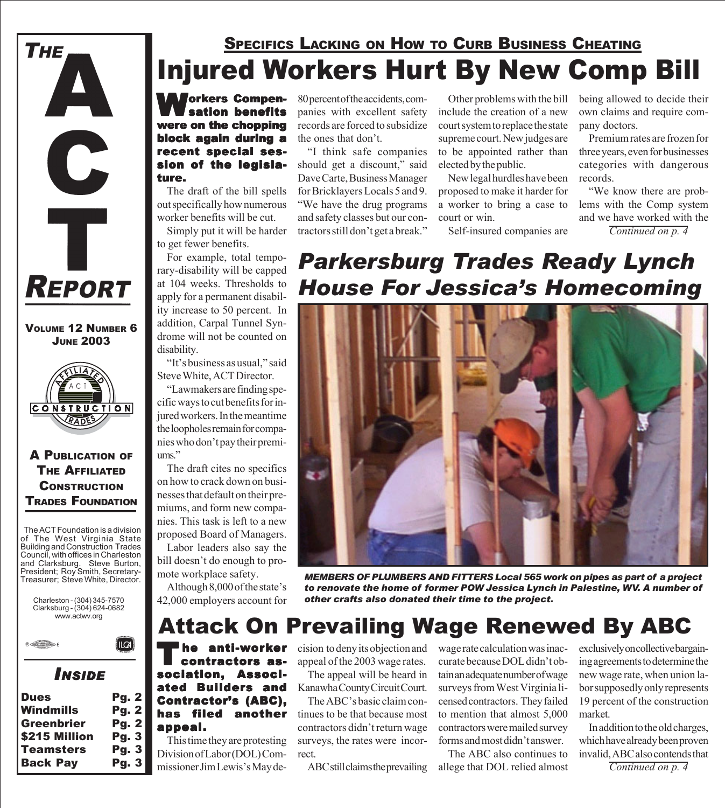

VOLUME 12 NUMBER 6 JUNE 2003



#### A PUBLICATION OF THE AFFILIATED **CONSTRUCTION** TRADES FOUNDATION

The ACT Foundation is a division of The West Virginia State Building and Construction Trades Council, with offices in Charleston and Clarksburg. Steve Burton, President; Roy Smith, Secretary-Treasurer; Steve White, Director.

Charleston - (304) 345-7570 Clarksburg - (304) 624-0682 www.actwv.org



### *INSIDE*

 $\|$ ILCA $\|$ 

| <b>Dues</b>       | <b>Pg. 2</b> |
|-------------------|--------------|
| <b>Windmills</b>  | <b>Pg. 2</b> |
| <b>Greenbrier</b> | <b>Pg. 2</b> |
| \$215 Million     | <b>Pg. 3</b> |
| <b>Teamsters</b>  | <b>Pg. 3</b> |
| <b>Back Pay</b>   | <b>Pg. 3</b> |
|                   |              |

# Injured Workers Hurt By New Comp Bill SPECIFICS LACKING ON HOW TO CURB BUSINESS CHEATING

**Jorkers Compen**sation benefits were on the chopping block again during a recent special session of the legislature.

The draft of the bill spells out specifically how numerous worker benefits will be cut.

Simply put it will be harder to get fewer benefits.

For example, total temporary-disability will be capped at 104 weeks. Thresholds to apply for a permanent disability increase to 50 percent. In addition, Carpal Tunnel Syndrome will not be counted on disability.

"It's business as usual," said Steve White, ACT Director.

"Lawmakers are finding specific ways to cut benefits for injured workers. In the meantime the loopholes remain for companies who don't pay their premiums."

The draft cites no specifics on how to crack down on businesses that default on their premiums, and form new companies. This task is left to a new proposed Board of Managers.

Labor leaders also say the bill doesn't do enough to promote workplace safety.

Although 8,000 of the state's 42,000 employers account for 80 percent of the accidents, companies with excellent safety records are forced to subsidize the ones that don't.

"I think safe companies should get a discount," said Dave Carte, Business Manager for Bricklayers Locals 5 and 9. "We have the drug programs and safety classes but our contractors still don't get a break."

Other problems with the bill include the creation of a new court system to replace the state supreme court. New judges are to be appointed rather than elected by the public.

New legal hurdles have been proposed to make it harder for a worker to bring a case to court or win.

Self-insured companies are

being allowed to decide their own claims and require company doctors.

Premium rates are frozen for three years, even for businesses categories with dangerous records.

"We know there are problems with the Comp system and we have worked with the *Continued on p. 4*

# *Parkersburg Trades Ready Lynch House For Jessica's Homecoming*



*MEMBERS OF PLUMBERS AND FITTERS Local 565 work on pipes as part of a project to renovate the home of former POW Jessica Lynch in Palestine, WV. A number of other crafts also donated their time to the project.*

# Attack On Prevailing Wage Renewed By ABC

The anti-worker<br>
contractors association, Associated Builders and Contractor's (ABC), has filed another appeal. appeal.

This time they are protesting Division of Labor (DOL) Commissioner Jim Lewis's May decision to deny its objection and appeal of the 2003 wage rates.

The appeal will be heard in Kanawha County Circuit Court.

The ABC's basic claim continues to be that because most contractors didn't return wage surveys, the rates were incorrect.

ABC still claims the prevailing

wage rate calculation was inaccurate because DOL didn't obtain an adequate number of wage surveys from West Virginia licensed contractors. They failed to mention that almost 5,000 contractors were mailed survey forms and most didn't answer.

The ABC also continues to allege that DOL relied almost exclusively on collective bargaining agreements to determine the new wage rate, when union labor supposedly only represents 19 percent of the construction market.

In addition to the old charges, which have already been proven invalid, ABC also contends that

*Continued on p. 4*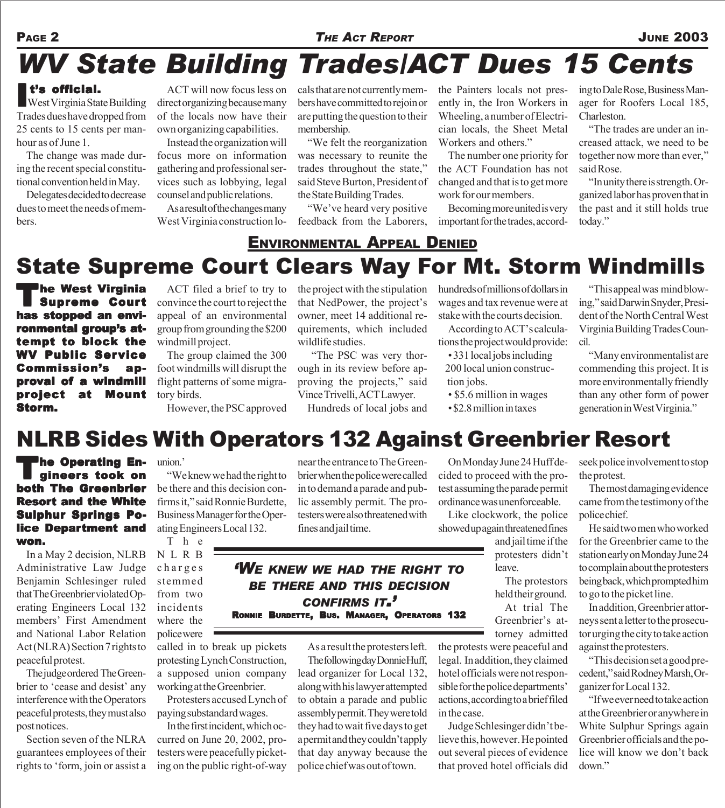#### PAGE 2 **THE ACT REPORT THE ACT REPORT**

# *WV State Building Trades/ACT Dues 15 Cents*

**It's official.**<br>West Virginia State Building Trades dues have dropped from 25 cents to 15 cents per manhour as of June 1.

The change was made during the recent special constitutional convention held in May.

Delegates decided to decrease dues to meet the needs of members.

ACT will now focus less on direct organizing because many of the locals now have their own organizing capabilities.

Instead the organization will focus more on information gathering and professional services such as lobbying, legal counsel and public relations.

As a result of the changes many West Virginia construction locals that are not currently members have committed to rejoin or are putting the question to their membership.

"We felt the reorganization was necessary to reunite the trades throughout the state," said Steve Burton, President of the State Building Trades.

"We've heard very positive feedback from the Laborers, the Painters locals not presently in, the Iron Workers in Wheeling, a number of Electrician locals, the Sheet Metal Workers and others."

The number one priority for the ACT Foundation has not changed and that is to get more work for our members.

Becoming more united is very important for the trades, according to Dale Rose, Business Manager for Roofers Local 185, Charleston.

"The trades are under an increased attack, we need to be together now more than ever,"

ganized labor has proven that in the past and it still holds true today."

## State Supreme Court Clears Way For Mt. Storm Windmills ENVIRONMENTAL APPEAL DENIED

**The West Virginia Supreme Court** has stopped an environmental group's attempt to block the WV Public Service Commission's approval of a windmill project at Mount Storm.

ACT filed a brief to try to convince the court to reject the appeal of an environmental group from grounding the \$200 windmill project.

The group claimed the 300 foot windmills will disrupt the flight patterns of some migratory birds.

However, the PSC approved

the project with the stipulation that NedPower, the project's owner, meet 14 additional requirements, which included wildlife studies.

 "The PSC was very thorough in its review before approving the projects," said Vince Trivelli, ACT Lawyer.

Hundreds of local jobs and

hundreds of millions of dollars in wages and tax revenue were at stake with the courts decision.

According to ACT's calculations the project would provide:

• 331 local jobs including 200 local union construc tion jobs.

- \$5.6 million in wages
- \$2.8 million in taxes

"This appeal was mind blowing," said Darwin Snyder, President of the North Central West Virginia Building Trades Council.

"Many environmentalist are commending this project. It is more environmentally friendly than any other form of power generation in West Virginia."

# NLRB Sides With Operators 132 Against Greenbrier Resort

**The Operating En**gineers took on both The Greenbrier **Resort and the White** Sulphur Springs Police Department and won.

In a May 2 decision, NLRB Administrative Law Judge Benjamin Schlesinger ruled that The Greenbrier violated Operating Engineers Local 132 members' First Amendment and National Labor Relation Act (NLRA) Section 7 rights to peaceful protest.

The judge ordered The Greenbrier to 'cease and desist' any interference with the Operators peaceful protests, they must also post notices.

Section seven of the NLRA guarantees employees of their rights to 'form, join or assist a

union.'

"We knew we had the right to be there and this decision confirms it," said Ronnie Burdette, Business Manager for the Operating Engineers Local 132.

T h e NLRB charges stemmed from two incidents where the police were called in to break up pickets

protesting Lynch Construction, a supposed union company working at the Greenbrier. Protesters accused Lynch of

paying substandard wages.

In the first incident, which occurred on June 20, 2002, protesters were peacefully picketing on the public right-of-way near the entrance to The Greenbrier when the police were called in to demand a parade and public assembly permit. The protesters were also threatened with fines and jail time.

#### *'WE KNEW WE HAD THE RIGHT TO BE THERE AND THIS DECISION CONFIRMS IT.'* RONNIE BURDETTE, BUS. MANAGER, OPERATORS 132

As a result the protesters left.

The following day Donnie Huff, lead organizer for Local 132, along with his lawyer attempted to obtain a parade and public assembly permit. They were told they had to wait five days to get a permit and they couldn't apply that day anyway because the police chief was out of town.

On Monday June 24 Huff decided to proceed with the protest assuming the parade permit ordinance was unenforceable.

Like clockwork, the police showed up again threatened fines

> and jail time if the protesters didn't leave.

torney admitted

the protests were peaceful and legal. In addition, they claimed hotel officials were not responsible for the police departments' actions, according to a brief filed in the case.

Judge Schlesinger didn't believe this, however. He pointed out several pieces of evidence that proved hotel officials did seek police involvement to stop the protest.

The most damaging evidence came from the testimony of the police chief.

He said two men who worked for the Greenbrier came to the station early on Monday June 24 to complain about the protesters being back, which prompted him to go to the picket line.

In addition, Greenbrier attorneys sent a letter to the prosecutor urging the city to take action against the protesters.

"This decision set a good precedent," said Rodney Marsh, Organizer for Local 132.

"If we ever need to take action at the Greenbrier or anywhere in White Sulphur Springs again Greenbrier officials and the police will know we don't back down."

The protestors held their ground. At trial The Greenbrier's at-

said Rose. "In unity there is strength. Or-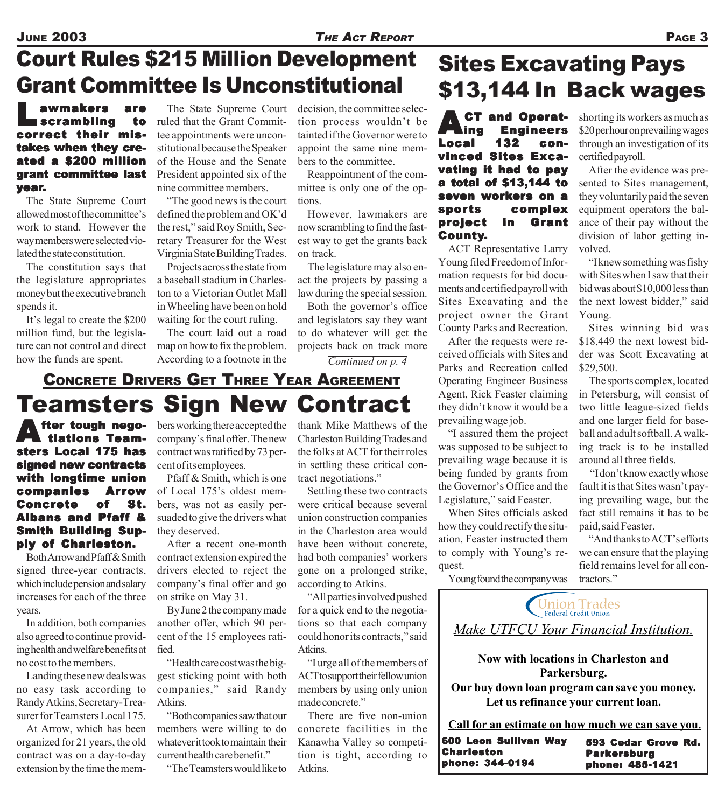# Court Rules \$215 Million Development Grant Committee Is Unconstitutional

### Lawmakers are scrambling to correct their mistakes when they created a \$200 million grant committee last year.

The State Supreme Court allowed most of the committee's work to stand. However the way members were selected violated the state constitution.

The constitution says that the legislature appropriates money but the executive branch spends it.

It's legal to create the \$200 million fund, but the legislature can not control and direct how the funds are spent.

The State Supreme Court ruled that the Grant Committee appointments were unconstitutional because the Speaker of the House and the Senate President appointed six of the nine committee members.

"The good news is the court defined the problem and OK'd the rest," said Roy Smith, Secretary Treasurer for the West Virginia State Building Trades.

Projects across the state from a baseball stadium in Charleston to a Victorian Outlet Mall in Wheeling have been on hold waiting for the court ruling.

The court laid out a road map on how to fix the problem. According to a footnote in the

decision, the committee selection process wouldn't be tainted if the Governor were to appoint the same nine members to the committee.

Reappointment of the committee is only one of the options.

However, lawmakers are now scrambling to find the fastest way to get the grants back on track.

The legislature may also enact the projects by passing a law during the special session.

Both the governor's office and legislators say they want to do whatever will get the projects back on track more

*Continued on p. 4*

## Teamsters Sign New Contract CONCRETE DRIVERS GET THREE YEAR AGREEMENT

fter tough nego tiations Teamsters Local 175 has signed new contracts with longtime union companies Arrow Concrete of St. Albans and Pfaff & **Smith Building Sup**ply of Charleston.

Both Arrow and Pfaff & Smith signed three-year contracts, which include pension and salary increases for each of the three years.

In addition, both companies also agreed to continue providing health and welfare benefits at no cost to the members.

Landing these new deals was no easy task according to Randy Atkins, Secretary-Treasurer for Teamsters Local 175.

At Arrow, which has been organized for 21 years, the old contract was on a day-to-day extension by the time the members working there accepted the company's final offer. The new contract was ratified by 73 percent of its employees.

Pfaff & Smith, which is one of Local 175's oldest members, was not as easily persuaded to give the drivers what they deserved.

After a recent one-month contract extension expired the drivers elected to reject the company's final offer and go on strike on May 31.

By June 2 the company made another offer, which 90 percent of the 15 employees ratified.

"Health care cost was the biggest sticking point with both companies," said Randy Atkins.

"Both companies saw that our members were willing to do whatever it took to maintain their current health care benefit."

"The Teamsters would like to

thank Mike Matthews of the Charleston Building Trades and the folks at ACT for their roles in settling these critical contract negotiations."

Settling these two contracts were critical because several union construction companies in the Charleston area would have been without concrete, had both companies' workers gone on a prolonged strike, according to Atkins.

"All parties involved pushed for a quick end to the negotiations so that each company could honor its contracts," said **Atkins** 

"I urge all of the members of ACT to support their fellow union members by using only union made concrete."

There are five non-union concrete facilities in the Kanawha Valley so competition is tight, according to Atkins.

# Sites Excavating Pays \$13,144 In Back wages

CT and Operat-<br>Ing Engineers<br>al 132 con-**Engineers Local** vinced Sites Excavating it had to pay a total of \$13,144 to seven workers on a sports complex project in Grant County.

ACT Representative Larry Young filed Freedom of Information requests for bid documents and certified payroll with Sites Excavating and the project owner the Grant County Parks and Recreation.

After the requests were received officials with Sites and Parks and Recreation called Operating Engineer Business Agent, Rick Feaster claiming they didn't know it would be a prevailing wage job.

"I assured them the project was supposed to be subject to prevailing wage because it is being funded by grants from the Governor's Office and the Legislature," said Feaster.

When Sites officials asked how they could rectify the situation, Feaster instructed them to comply with Young's request.

Young found the company was

shorting its workers as much as \$20 per hour on prevailing wages through an investigation of its certified payroll.

After the evidence was presented to Sites management, they voluntarily paid the seven equipment operators the balance of their pay without the division of labor getting involved.

"I knew something was fishy with Sites when I saw that their bid was about \$10,000 less than the next lowest bidder," said Young.

Sites winning bid was \$18,449 the next lowest bidder was Scott Excavating at \$29,500.

The sports complex, located in Petersburg, will consist of two little league-sized fields and one larger field for baseball and adult softball. A walking track is to be installed around all three fields.

 "I don't know exactly whose fault it is that Sites wasn't paying prevailing wage, but the fact still remains it has to be paid, said Feaster.

"And thanks to ACT's efforts we can ensure that the playing field remains level for all contractors."

Union Trades

### *Make UTFCU Your Financial Institution.*

**Now with locations in Charleston and Parkersburg.**

**Our buy down loan program can save you money. Let us refinance your current loan.**

**Call for an estimate on how much we can save you.**

593 Cedar Grove Rd. Parkersburg phone: 485-1421 600 Leon Sullivan Way Charleston phone: 344-0194